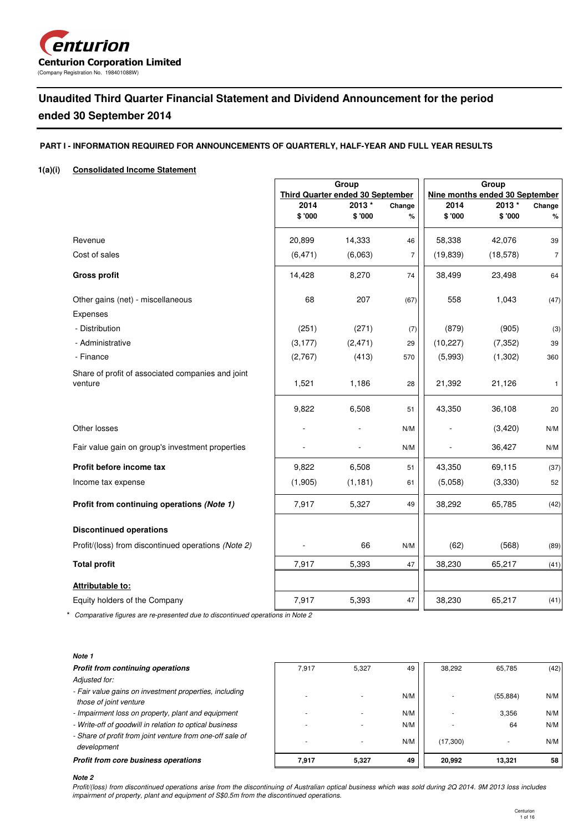

# **Unaudited Third Quarter Financial Statement and Dividend Announcement for the period ended 30 September 2014**

# **PART I - INFORMATION REQUIRED FOR ANNOUNCEMENTS OF QUARTERLY, HALF-YEAR AND FULL YEAR RESULTS**

# **1(a)(i) Consolidated Income Statement**

|                                                              |                                         | Group           |                |                                | Group           |                |  |  |
|--------------------------------------------------------------|-----------------------------------------|-----------------|----------------|--------------------------------|-----------------|----------------|--|--|
|                                                              | <b>Third Quarter ended 30 September</b> |                 |                | Nine months ended 30 September |                 |                |  |  |
|                                                              | 2014<br>\$'000                          | 2013*<br>\$'000 | Change<br>%    | 2014<br>\$ '000                | 2013*<br>\$'000 | Change<br>$\%$ |  |  |
|                                                              |                                         |                 |                |                                |                 |                |  |  |
| Revenue                                                      | 20,899                                  | 14,333          | 46             | 58,338                         | 42.076          | 39             |  |  |
| Cost of sales                                                | (6, 471)                                | (6,063)         | $\overline{7}$ | (19, 839)                      | (18, 578)       | $\overline{7}$ |  |  |
| <b>Gross profit</b>                                          | 14,428                                  | 8,270           | 74             | 38,499                         | 23,498          | 64             |  |  |
| Other gains (net) - miscellaneous                            | 68                                      | 207             | (67)           | 558                            | 1,043           | (47)           |  |  |
| Expenses                                                     |                                         |                 |                |                                |                 |                |  |  |
| - Distribution                                               | (251)                                   | (271)           | (7)            | (879)                          | (905)           | (3)            |  |  |
| - Administrative                                             | (3, 177)                                | (2, 471)        | 29             | (10, 227)                      | (7, 352)        | 39             |  |  |
| - Finance                                                    | (2,767)                                 | (413)           | 570            | (5,993)                        | (1,302)         | 360            |  |  |
| Share of profit of associated companies and joint<br>venture | 1,521                                   | 1,186           | 28             | 21,392                         | 21,126          | $\mathbf{1}$   |  |  |
|                                                              | 9,822                                   | 6,508           | 51             | 43,350                         | 36,108          | 20             |  |  |
| Other losses                                                 |                                         |                 | N/M            |                                | (3,420)         | N/M            |  |  |
| Fair value gain on group's investment properties             |                                         |                 | N/M            |                                | 36,427          | N/M            |  |  |
| Profit before income tax                                     | 9,822                                   | 6,508           | 51             | 43,350                         | 69,115          | (37)           |  |  |
| Income tax expense                                           | (1,905)                                 | (1, 181)        | 61             | (5,058)                        | (3,330)         | 52             |  |  |
| Profit from continuing operations (Note 1)                   | 7,917                                   | 5,327           | 49             | 38,292                         | 65,785          | (42)           |  |  |
| <b>Discontinued operations</b>                               |                                         |                 |                |                                |                 |                |  |  |
| Profit/(loss) from discontinued operations (Note 2)          |                                         | 66              | N/M            | (62)                           | (568)           | (89)           |  |  |
| <b>Total profit</b>                                          | 7,917                                   | 5,393           | 47             | 38,230                         | 65,217          | (41)           |  |  |
| Attributable to:                                             |                                         |                 |                |                                |                 |                |  |  |
| Equity holders of the Company                                | 7,917                                   | 5,393           | 47             | 38,230                         | 65,217          | (41)           |  |  |

\* Comparative figures are re-presented due to discontinued operations in Note 2

### **Note 1**

| Profit from continuing operations                                                | 7.917 | 5.327 | 49  | 38.292   | 65.785    | (42) |
|----------------------------------------------------------------------------------|-------|-------|-----|----------|-----------|------|
| Adjusted for:                                                                    |       |       |     |          |           |      |
| - Fair value gains on investment properties, including<br>those of joint venture |       |       | N/M |          | (55, 884) | N/M  |
| - Impairment loss on property, plant and equipment                               |       |       | N/M |          | 3.356     | N/M  |
| - Write-off of goodwill in relation to optical business                          |       |       | N/M |          | 64        | N/M  |
| - Share of profit from joint venture from one-off sale of<br>development         |       |       | N/M | (17,300) |           | N/M  |
| Profit from core business operations                                             | 7.917 | 5,327 | 49  | 20.992   | 13.321    | 58   |

#### **Note 2**

Profit/(loss) from discontinued operations arise from the discontinuing of Australian optical business which was sold during 2Q 2014. 9M 2013 loss includes impairment of property, plant and equipment of S\$0.5m from the discontinued operations.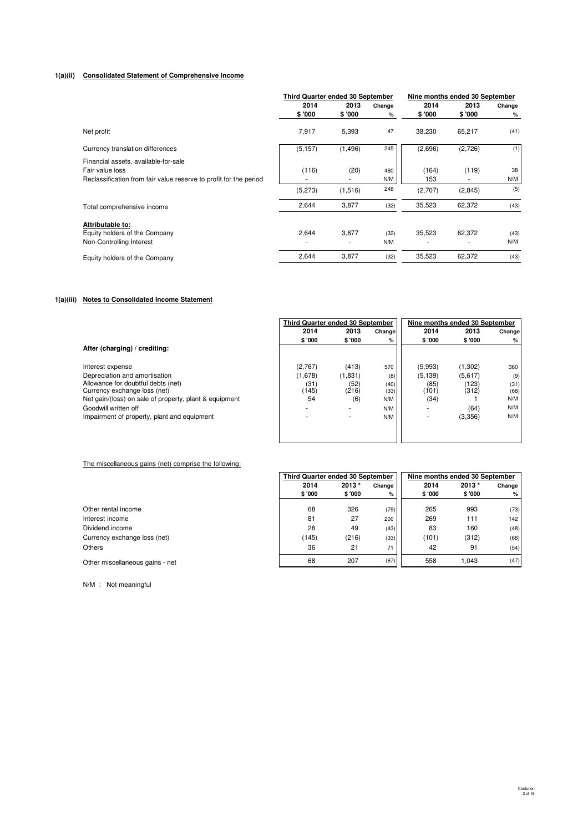### **1(a)(ii) Consolidated Statement of Comprehensive Income**

|                                                                   | <b>Third Quarter ended 30 September</b> |          |        | Nine months ended 30 September |         |        |
|-------------------------------------------------------------------|-----------------------------------------|----------|--------|--------------------------------|---------|--------|
|                                                                   | 2014                                    | 2013     | Change | 2014                           | 2013    | Change |
|                                                                   | \$'000                                  | \$'000   | %      | \$ '000                        | \$'000  | %      |
| Net profit                                                        | 7,917                                   | 5,393    | 47     | 38,230                         | 65,217  | (41)   |
| Currency translation differences                                  | (5, 157)                                | (1, 496) | 245    | (2,696)                        | (2,726) | (1)    |
| Financial assets, available-for-sale                              |                                         |          |        |                                |         |        |
| Fair value loss                                                   | (116)                                   | (20)     | 480    | (164)                          | (119)   | 38     |
| Reclassification from fair value reserve to profit for the period |                                         |          | N/M    | 153                            |         | N/M    |
|                                                                   | (5, 273)                                | (1,516)  | 248    | (2,707)                        | (2,845) | (5)    |
| Total comprehensive income                                        | 2,644                                   | 3,877    | (32)   | 35,523                         | 62,372  | (43)   |
| Attributable to:                                                  |                                         |          |        |                                |         |        |
| Equity holders of the Company                                     | 2,644                                   | 3,877    | (32)   | 35,523                         | 62,372  | (43)   |
| Non-Controlling Interest                                          |                                         |          | N/M    |                                |         | N/M    |
| Equity holders of the Company                                     | 2,644                                   | 3,877    | (32)   | 35,523                         | 62,372  | (43)   |

# **1(a)(iii) Notes to Consolidated Income Statement**

|                                                        | <b>Third Quarter ended 30 September</b> |         |         | Nine months ended 30 September |         |        |
|--------------------------------------------------------|-----------------------------------------|---------|---------|--------------------------------|---------|--------|
|                                                        | 2014                                    | 2013    | Changel | 2014                           | 2013    | Change |
|                                                        | \$ '000                                 | \$'000  | %       | \$'000                         | \$ '000 | %      |
| After (charging) / crediting:                          |                                         |         |         |                                |         |        |
| Interest expense                                       | (2,767)                                 | (413)   | 570     | (5,993)                        | (1,302) | 360    |
| Depreciation and amortisation                          | (1,678)                                 | (1,831) | (8)     | (5, 139)                       | (5,617) | (9)    |
| Allowance for doubtful debts (net)                     | (31)                                    | (52)    | (40)    | (85)                           | (123)   | (31)   |
| Currency exchange loss (net)                           | (145)                                   | (216)   | (33)    | (101)                          | (312)   | (68)   |
| Net gain/(loss) on sale of property, plant & equipment | 54                                      | (6)     | N/M     | (34)                           |         | N/M    |
| Goodwill written off                                   | ۰.                                      |         | N/M     |                                | (64)    | N/M    |
| Impairment of property, plant and equipment            | $\overline{\phantom{a}}$                |         | N/M     |                                | (3,356) | N/M    |
|                                                        |                                         |         |         |                                |         |        |
|                                                        |                                         |         |         |                                |         |        |

#### The miscellaneous gains (net) comprise the following:

|                                 |         | <b>Third Quarter ended 30 September</b> |        |        | Nine months ended 30 September |        |  |
|---------------------------------|---------|-----------------------------------------|--------|--------|--------------------------------|--------|--|
|                                 | 2014    | 2013*                                   | Change | 2014   | $2013*$                        | Change |  |
|                                 | \$ '000 | \$'000                                  | %      | \$'000 | \$'000                         | %      |  |
| Other rental income             | 68      | 326                                     | (79)   | 265    | 993                            | (73)   |  |
| Interest income                 | 81      | 27                                      | 200    | 269    | 111                            | 142    |  |
| Dividend income                 | 28      | 49                                      | (43)   | 83     | 160                            | (48)   |  |
| Currency exchange loss (net)    | (145)   | (216)                                   | (33)   | (101)  | (312)                          | (68)   |  |
| Others                          | 36      | 21                                      | 71     | 42     | 91                             | (54)   |  |
| Other miscellaneous gains - net | 68      | 207                                     | (67)   | 558    | 1.043                          | (47)   |  |

N/M : Not meaningful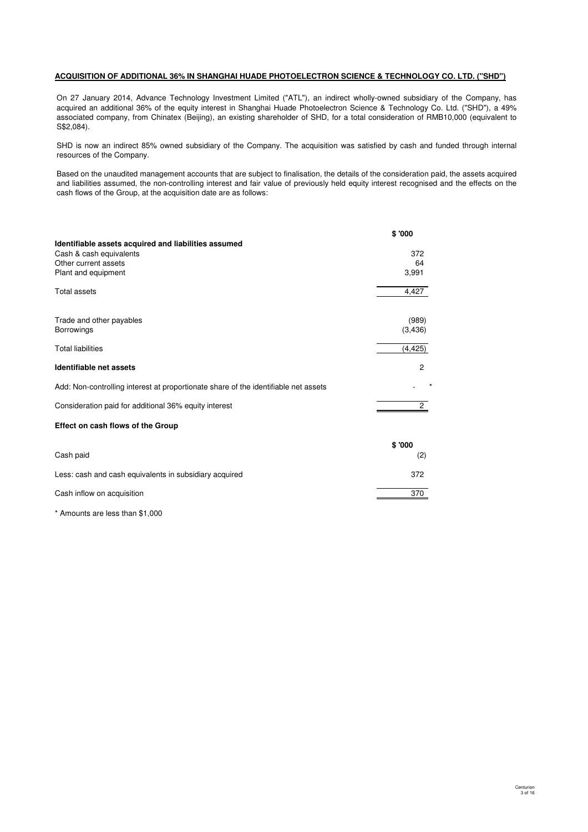## **ACQUISITION OF ADDITIONAL 36% IN SHANGHAI HUADE PHOTOELECTRON SCIENCE & TECHNOLOGY CO. LTD. ("SHD")**

On 27 January 2014, Advance Technology Investment Limited ("ATL"), an indirect wholly-owned subsidiary of the Company, has acquired an additional 36% of the equity interest in Shanghai Huade Photoelectron Science & Technology Co. Ltd. ("SHD"), a 49% associated company, from Chinatex (Beijing), an existing shareholder of SHD, for a total consideration of RMB10,000 (equivalent to S\$2,084).

SHD is now an indirect 85% owned subsidiary of the Company. The acquisition was satisfied by cash and funded through internal resources of the Company.

Based on the unaudited management accounts that are subject to finalisation, the details of the consideration paid, the assets acquired and liabilities assumed, the non-controlling interest and fair value of previously held equity interest recognised and the effects on the cash flows of the Group, at the acquisition date are as follows:

|                                                                                     | \$'000         |
|-------------------------------------------------------------------------------------|----------------|
| Identifiable assets acquired and liabilities assumed                                |                |
| Cash & cash equivalents                                                             | 372            |
| Other current assets                                                                | 64             |
| Plant and equipment                                                                 | 3,991          |
| Total assets                                                                        | 4,427          |
|                                                                                     |                |
| Trade and other payables                                                            | (989)          |
| <b>Borrowings</b>                                                                   | (3, 436)       |
| <b>Total liabilities</b>                                                            | (4, 425)       |
| Identifiable net assets                                                             | 2              |
| Add: Non-controlling interest at proportionate share of the identifiable net assets |                |
| Consideration paid for additional 36% equity interest                               | $\overline{2}$ |
| Effect on cash flows of the Group                                                   |                |
|                                                                                     | \$'000         |
| Cash paid                                                                           | (2)            |
| Less: cash and cash equivalents in subsidiary acquired                              | 372            |
| Cash inflow on acquisition                                                          | 370            |
|                                                                                     |                |

\* Amounts are less than \$1,000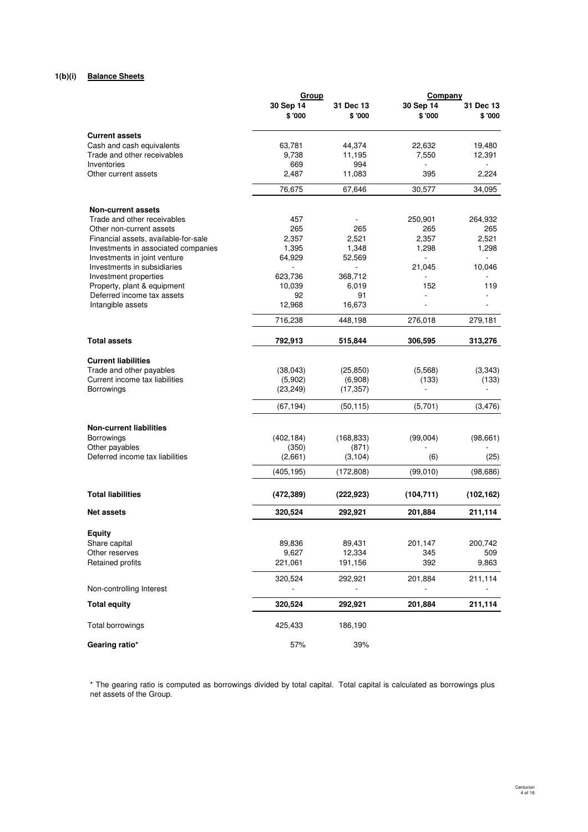# **1(b)(i) Balance Sheets**

|                                                      | Group                |                     | Company             |                     |
|------------------------------------------------------|----------------------|---------------------|---------------------|---------------------|
|                                                      | 30 Sep 14<br>\$ '000 | 31 Dec 13<br>\$'000 | 30 Sep 14<br>\$'000 | 31 Dec 13<br>\$'000 |
| <b>Current assets</b>                                |                      |                     |                     |                     |
| Cash and cash equivalents                            | 63,781               | 44,374              | 22,632              | 19,480              |
| Trade and other receivables                          | 9,738                | 11,195              | 7,550               | 12,391              |
| Inventories                                          | 669                  | 994                 |                     |                     |
| Other current assets                                 | 2,487                | 11,083              | 395                 | 2,224               |
|                                                      | 76,675               | 67,646              | 30,577              | 34,095              |
| <b>Non-current assets</b>                            |                      |                     |                     |                     |
| Trade and other receivables                          | 457                  |                     | 250,901             | 264,932             |
| Other non-current assets                             | 265                  | 265                 | 265                 | 265                 |
| Financial assets, available-for-sale                 | 2,357                | 2,521               | 2,357               | 2,521               |
| Investments in associated companies                  | 1,395                | 1,348               | 1,298               | 1,298               |
| Investments in joint venture                         | 64,929               | 52,569              |                     |                     |
| Investments in subsidiaries<br>Investment properties | 623,736              |                     | 21,045              | 10,046              |
| Property, plant & equipment                          | 10,039               | 368,712<br>6,019    | 152                 | 119                 |
| Deferred income tax assets                           | 92                   | 91                  |                     |                     |
| Intangible assets                                    | 12,968               | 16,673              |                     |                     |
|                                                      | 716,238              | 448,198             | 276,018             | 279,181             |
| <b>Total assets</b>                                  | 792,913              | 515,844             | 306,595             | 313,276             |
| <b>Current liabilities</b>                           |                      |                     |                     |                     |
| Trade and other payables                             | (38, 043)            | (25, 850)           | (5, 568)            | (3,343)             |
| Current income tax liabilities                       | (5,902)              | (6,908)             | (133)               | (133)               |
| Borrowings                                           | (23, 249)            | (17, 357)           | $\overline{a}$      |                     |
|                                                      | (67, 194)            | (50, 115)           | (5,701)             | (3, 476)            |
| <b>Non-current liabilities</b>                       |                      |                     |                     |                     |
| <b>Borrowings</b>                                    | (402, 184)           | (168, 833)          | (99,004)            | (98, 661)           |
| Other payables                                       | (350)                | (871)               |                     |                     |
| Deferred income tax liabilities                      | (2,661)              | (3, 104)            | (6)                 | (25)                |
|                                                      | (405,195)            | (172,808)           | (99,010)            | (98,686)            |
| <b>Total liabilities</b>                             | (472, 389)           | (222, 923)          | (104, 711)          | (102, 162)          |
| <b>Net assets</b>                                    | 320,524              | 292,921             | 201,884             | 211,114             |
|                                                      |                      |                     |                     |                     |
| Equity<br>Share capital                              | 89,836               | 89,431              | 201,147             | 200,742             |
| Other reserves                                       | 9,627                | 12,334              | 345                 | 509                 |
| Retained profits                                     | 221,061              | 191,156             | 392                 | 9,863               |
|                                                      | 320,524              | 292,921             | 201,884             | 211,114             |
| Non-controlling Interest                             |                      |                     |                     |                     |
| <b>Total equity</b>                                  | 320,524              | 292,921             | 201,884             | 211,114             |
| Total borrowings                                     | 425,433              | 186,190             |                     |                     |
| Gearing ratio*                                       | 57%                  | 39%                 |                     |                     |

\* The gearing ratio is computed as borrowings divided by total capital. Total capital is calculated as borrowings plus net assets of the Group.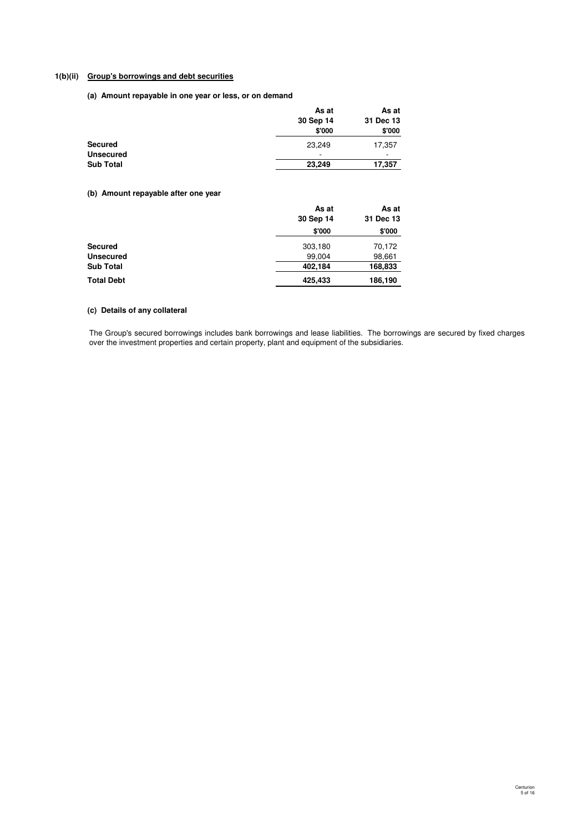# **1(b)(ii) Group's borrowings and debt securities**

**(a) Amount repayable in one year or less, or on demand**

|                  | As at     | As at     |
|------------------|-----------|-----------|
|                  | 30 Sep 14 | 31 Dec 13 |
|                  | \$'000    | \$'000    |
| <b>Secured</b>   | 23.249    | 17,357    |
| <b>Unsecured</b> | ۰         | -         |
| <b>Sub Total</b> | 23.249    | 17,357    |

# **(b) Amount repayable after one year**

|                   | As at<br>30 Sep 14 | As at<br>31 Dec 13 |
|-------------------|--------------------|--------------------|
|                   | \$'000             | \$'000             |
| <b>Secured</b>    | 303,180            | 70,172             |
| <b>Unsecured</b>  | 99,004             | 98,661             |
| <b>Sub Total</b>  | 402,184            | 168,833            |
| <b>Total Debt</b> | 425,433            | 186,190            |

# **(c) Details of any collateral**

The Group's secured borrowings includes bank borrowings and lease liabilities. The borrowings are secured by fixed charges over the investment properties and certain property, plant and equipment of the subsidiaries.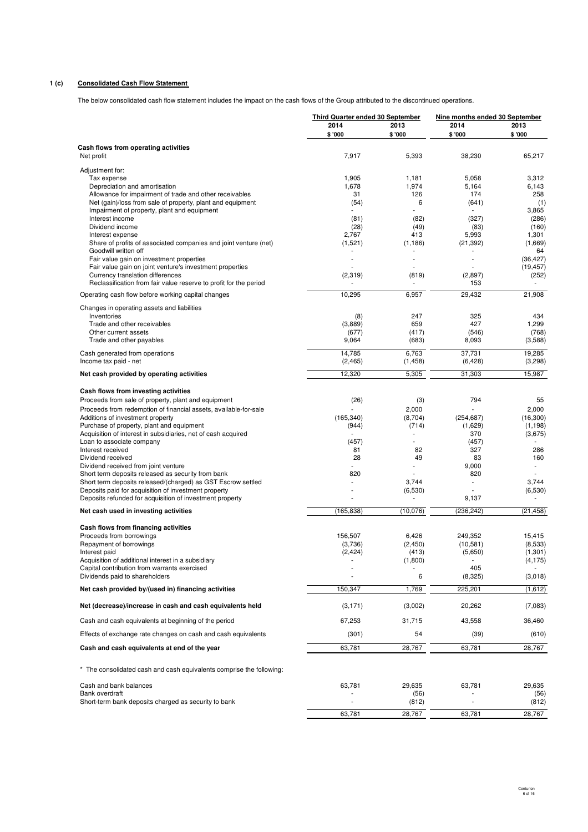# **1 (c) Consolidated Cash Flow Statement**

The below consolidated cash flow statement includes the impact on the cash flows of the Group attributed to the discontinued operations.

|                                                                                                                      | Third Quarter ended 30 September |                   | Nine months ended 30 September      |                    |  |
|----------------------------------------------------------------------------------------------------------------------|----------------------------------|-------------------|-------------------------------------|--------------------|--|
|                                                                                                                      | 2014                             | 2013              | 2014                                | 2013               |  |
|                                                                                                                      | \$'000                           | \$ '000           | \$'000                              | \$'000             |  |
| Cash flows from operating activities<br>Net profit                                                                   | 7,917                            | 5,393             | 38,230                              | 65,217             |  |
| Adjustment for:                                                                                                      |                                  |                   |                                     |                    |  |
| Tax expense<br>Depreciation and amortisation                                                                         | 1,905<br>1,678                   | 1,181<br>1,974    | 5,058<br>5,164                      | 3,312<br>6,143     |  |
| Allowance for impairment of trade and other receivables                                                              | 31                               | 126               | 174                                 | 258                |  |
| Net (gain)/loss from sale of property, plant and equipment                                                           | (54)                             | 6                 | (641)                               | (1)                |  |
| Impairment of property, plant and equipment<br>Interest income                                                       | (81)                             | (82)              | (327)                               | 3,865<br>(286)     |  |
| Dividend income                                                                                                      | (28)                             | (49)              | (83)                                | (160)              |  |
| Interest expense                                                                                                     | 2,767                            | 413               | 5,993                               | 1,301              |  |
| Share of profits of associated companies and joint venture (net)<br>Goodwill written off                             | (1,521)                          | (1, 186)          | (21, 392)                           | (1,669)<br>64      |  |
| Fair value gain on investment properties                                                                             | ÷.                               | ÷.                | $\overline{\phantom{a}}$            | (36, 427)          |  |
| Fair value gain on joint venture's investment properties                                                             |                                  |                   |                                     | (19, 457)          |  |
| Currency translation differences                                                                                     | (2, 319)                         | (819)             | (2,897)                             | (252)              |  |
| Reclassification from fair value reserve to profit for the period                                                    |                                  |                   | 153                                 |                    |  |
| Operating cash flow before working capital changes                                                                   | 10,295                           | 6,957             | 29,432                              | 21,908             |  |
| Changes in operating assets and liabilities<br>Inventories                                                           | (8)                              | 247               | 325                                 | 434                |  |
| Trade and other receivables                                                                                          | (3,889)                          | 659               | 427                                 | 1,299              |  |
| Other current assets                                                                                                 | (677)                            | (417)             | (546)                               | (768)              |  |
| Trade and other payables                                                                                             | 9,064                            | (683)             | 8,093                               | (3,588)            |  |
| Cash generated from operations                                                                                       | 14,785                           | 6,763             | 37,731                              | 19,285             |  |
| Income tax paid - net                                                                                                | (2, 465)                         | (1, 458)          | (6, 428)                            | (3,298)            |  |
| Net cash provided by operating activities                                                                            | 12,320                           | 5,305             | 31,303                              | 15,987             |  |
| Cash flows from investing activities                                                                                 |                                  |                   |                                     |                    |  |
| Proceeds from sale of property, plant and equipment                                                                  | (26)                             | (3)               | 794                                 | 55                 |  |
| Proceeds from redemption of financial assets, available-for-sale<br>Additions of investment property                 | (165, 340)                       | 2,000<br>(8,704)  | ä,<br>(254, 687)                    | 2,000<br>(16, 300) |  |
| Purchase of property, plant and equipment                                                                            | (944)                            | (714)             | (1,629)                             | (1, 198)           |  |
| Acquisition of interest in subsidiaries, net of cash acquired                                                        |                                  |                   | 370                                 | (3,675)            |  |
| Loan to associate company<br>Interest received                                                                       | (457)<br>81                      | 82                | (457)<br>327                        | 286                |  |
| Dividend received                                                                                                    | 28                               | 49                | 83                                  | 160                |  |
| Dividend received from joint venture                                                                                 |                                  |                   | 9,000                               |                    |  |
| Short term deposits released as security from bank                                                                   | 820<br>٠                         |                   | 820<br>÷,                           |                    |  |
| Short term deposits released/(charged) as GST Escrow settled<br>Deposits paid for acquisition of investment property |                                  | 3,744<br>(6,530)  |                                     | 3,744<br>(6, 530)  |  |
| Deposits refunded for acquisition of investment property                                                             |                                  |                   | 9,137                               |                    |  |
| Net cash used in investing activities                                                                                | (165, 838)                       | (10, 076)         | (236, 242)                          | (21, 458)          |  |
| Cash flows from financing activities                                                                                 |                                  |                   |                                     |                    |  |
| Proceeds from borrowings                                                                                             | 156,507                          | 6,426             | 249,352                             | 15,415             |  |
| Repayment of borrowings                                                                                              | (3,736)                          | (2, 450)<br>(413) | (10, 581)                           | (8,533)<br>(1,301) |  |
| Interest paid<br>Acquisition of additional interest in a subsidiary                                                  | (2, 424)                         | (1,800)           | (5,650)<br>$\overline{\phantom{a}}$ | (4, 175)           |  |
| Capital contribution from warrants exercised                                                                         |                                  |                   | 405                                 |                    |  |
| Dividends paid to shareholders                                                                                       |                                  | 6                 | (8,325)                             | (3,018)            |  |
| Net cash provided by/(used in) financing activities                                                                  | 150,347                          | 1,769             | 225,201                             | (1,612)            |  |
| Net (decrease)/increase in cash and cash equivalents held                                                            | (3, 171)                         | (3,002)           | 20,262                              | (7,083)            |  |
| Cash and cash equivalents at beginning of the period                                                                 | 67,253                           | 31,715            | 43,558                              | 36,460             |  |
| Effects of exchange rate changes on cash and cash equivalents                                                        | (301)                            | 54                | (39)                                | (610)              |  |
| Cash and cash equivalents at end of the year                                                                         | 63,781                           | 28,767            | 63,781                              | 28,767             |  |
| * The consolidated cash and cash equivalents comprise the following:                                                 |                                  |                   |                                     |                    |  |
| Cash and bank balances                                                                                               | 63,781                           | 29,635            | 63,781                              | 29,635             |  |
| Bank overdraft                                                                                                       |                                  | (56)              |                                     | (56)               |  |
| Short-term bank deposits charged as security to bank                                                                 |                                  | (812)             |                                     | (812)              |  |
|                                                                                                                      | 63,781                           | 28,767            | 63,781                              | 28,767             |  |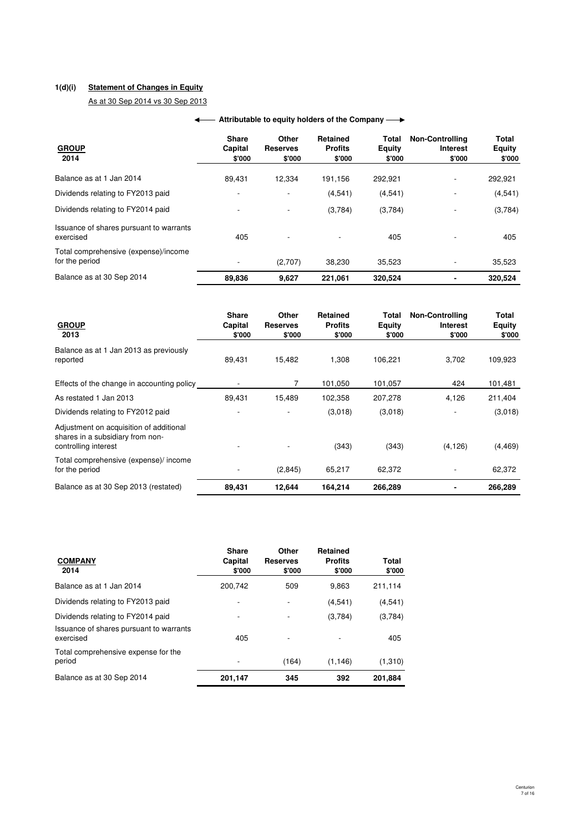# **1(d)(i) Statement of Changes in Equity**

As at 30 Sep 2014 vs 30 Sep 2013

# **← Attributable to equity holders of the Company →**

| <b>GROUP</b><br>2014                                   | <b>Share</b><br>Capital<br>\$'000 | Other<br><b>Reserves</b><br>\$'000 | Retained<br><b>Profits</b><br>\$'000 | Total<br><b>Equity</b><br>\$'000 | <b>Non-Controlling</b><br>Interest<br>\$'000 | Total<br><b>Equity</b><br>\$'000 |
|--------------------------------------------------------|-----------------------------------|------------------------------------|--------------------------------------|----------------------------------|----------------------------------------------|----------------------------------|
| Balance as at 1 Jan 2014                               | 89,431                            | 12,334                             | 191,156                              | 292,921                          |                                              | 292,921                          |
| Dividends relating to FY2013 paid                      |                                   |                                    | (4, 541)                             | (4,541)                          |                                              | (4, 541)                         |
| Dividends relating to FY2014 paid                      |                                   |                                    | (3,784)                              | (3,784)                          |                                              | (3,784)                          |
| Issuance of shares pursuant to warrants<br>exercised   | 405                               |                                    |                                      | 405                              |                                              | 405                              |
| Total comprehensive (expense)/income<br>for the period |                                   | (2,707)                            | 38.230                               | 35.523                           |                                              | 35,523                           |
| Balance as at 30 Sep 2014                              | 89,836                            | 9,627                              | 221.061                              | 320.524                          |                                              | 320,524                          |

| <b>GROUP</b><br>2013                                                                                | <b>Share</b><br>Capital<br>\$'000 | Other<br><b>Reserves</b><br>\$'000 | Retained<br><b>Profits</b><br>\$'000 | Total<br>Equity<br>\$'000 | <b>Non-Controlling</b><br>Interest<br>\$'000 | Total<br>Equity<br>\$'000 |
|-----------------------------------------------------------------------------------------------------|-----------------------------------|------------------------------------|--------------------------------------|---------------------------|----------------------------------------------|---------------------------|
| Balance as at 1 Jan 2013 as previously<br>reported                                                  | 89,431                            | 15,482                             | 1,308                                | 106,221                   | 3,702                                        | 109,923                   |
| Effects of the change in accounting policy                                                          |                                   | 7                                  | 101,050                              | 101,057                   | 424                                          | 101,481                   |
| As restated 1 Jan 2013                                                                              | 89,431                            | 15,489                             | 102,358                              | 207,278                   | 4,126                                        | 211,404                   |
| Dividends relating to FY2012 paid                                                                   |                                   |                                    | (3,018)                              | (3,018)                   | $\overline{\phantom{a}}$                     | (3,018)                   |
| Adjustment on acquisition of additional<br>shares in a subsidiary from non-<br>controlling interest |                                   |                                    | (343)                                | (343)                     | (4, 126)                                     | (4, 469)                  |
| Total comprehensive (expense)/ income<br>for the period                                             |                                   | (2,845)                            | 65,217                               | 62,372                    |                                              | 62,372                    |
| Balance as at 30 Sep 2013 (restated)                                                                | 89,431                            | 12,644                             | 164,214                              | 266,289                   |                                              | 266,289                   |

| <b>COMPANY</b><br>2014                               | <b>Share</b><br>Capital<br>\$'000 | Other<br><b>Reserves</b><br>\$'000 | <b>Retained</b><br><b>Profits</b><br>\$'000 | Total<br>\$'000 |
|------------------------------------------------------|-----------------------------------|------------------------------------|---------------------------------------------|-----------------|
| Balance as at 1 Jan 2014                             | 200.742                           | 509                                | 9.863                                       | 211.114         |
| Dividends relating to FY2013 paid                    |                                   |                                    | (4,541)                                     | (4, 541)        |
| Dividends relating to FY2014 paid                    |                                   |                                    | (3,784)                                     | (3,784)         |
| Issuance of shares pursuant to warrants<br>exercised | 405                               |                                    |                                             | 405             |
| Total comprehensive expense for the<br>period        |                                   | (164)                              | (1, 146)                                    | (1,310)         |
| Balance as at 30 Sep 2014                            | 201,147                           | 345                                | 392                                         | 201,884         |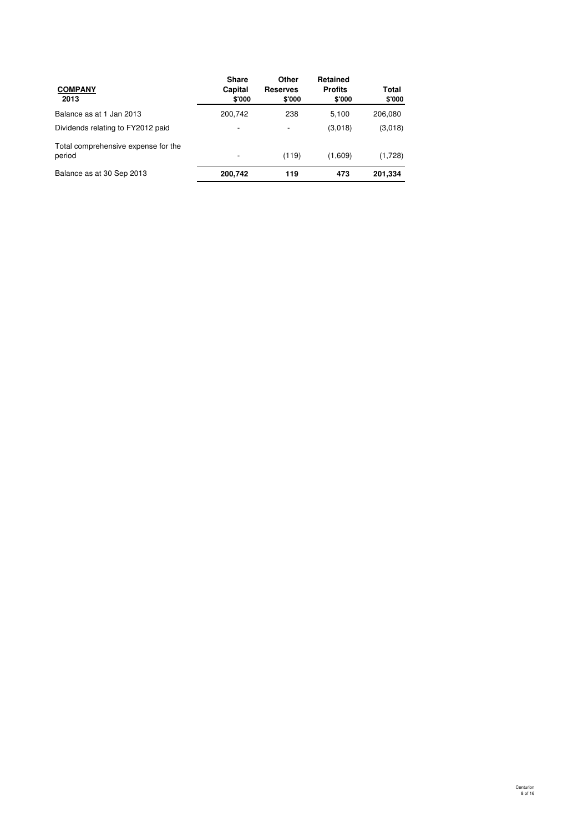| <b>COMPANY</b><br>2013                        | <b>Share</b><br>Capital<br>\$'000 | Other<br><b>Reserves</b><br>\$'000 | Retained<br><b>Profits</b><br>\$'000 | Total<br>\$'000 |
|-----------------------------------------------|-----------------------------------|------------------------------------|--------------------------------------|-----------------|
| Balance as at 1 Jan 2013                      | 200.742                           | 238                                | 5.100                                | 206.080         |
| Dividends relating to FY2012 paid             | $\overline{\phantom{a}}$          |                                    | (3,018)                              | (3,018)         |
| Total comprehensive expense for the<br>period |                                   | (119)                              | (1,609)                              | (1,728)         |
| Balance as at 30 Sep 2013                     | 200.742                           | 119                                | 473                                  | 201,334         |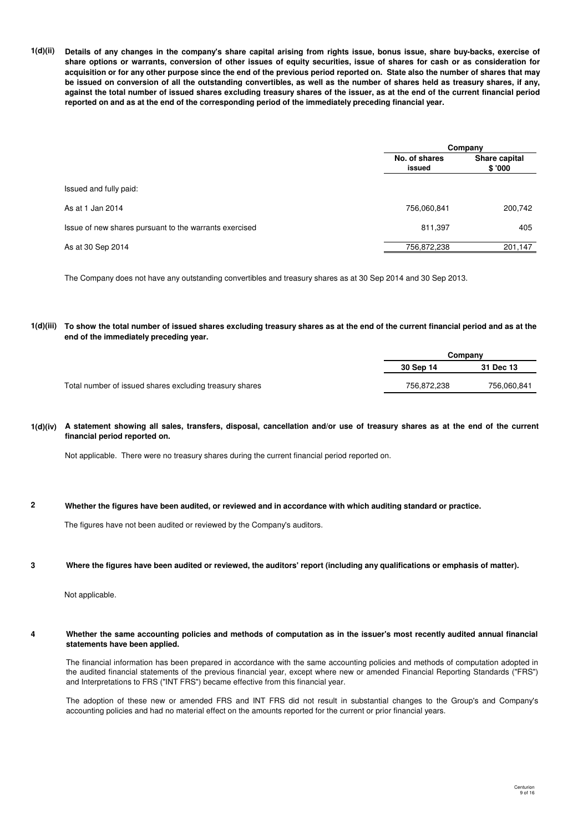**1(d)(ii) Details of any changes in the company's share capital arising from rights issue, bonus issue, share buy-backs, exercise of share options or warrants, conversion of other issues of equity securities, issue of shares for cash or as consideration for acquisition or for any other purpose since the end of the previous period reported on. State also the number of shares that may be issued on conversion of all the outstanding convertibles, as well as the number of shares held as treasury shares, if any, against the total number of issued shares excluding treasury shares of the issuer, as at the end of the current financial period reported on and as at the end of the corresponding period of the immediately preceding financial year.**

|                                                        | Company                 |                         |  |
|--------------------------------------------------------|-------------------------|-------------------------|--|
|                                                        | No. of shares<br>issued | Share capital<br>\$'000 |  |
| Issued and fully paid:                                 |                         |                         |  |
| As at 1 Jan 2014                                       | 756,060,841             | 200,742                 |  |
| Issue of new shares pursuant to the warrants exercised | 811,397                 | 405                     |  |
| As at 30 Sep 2014                                      | 756,872,238             | 201,147                 |  |

The Company does not have any outstanding convertibles and treasury shares as at 30 Sep 2014 and 30 Sep 2013.

#### **1(d)(iii) To show the total number of issued shares excluding treasury shares as at the end of the current financial period and as at the end of the immediately preceding year.**

|                                                         | Company     |             |  |
|---------------------------------------------------------|-------------|-------------|--|
|                                                         | 30 Sep 14   | 31 Dec 13   |  |
| Total number of issued shares excluding treasury shares | 756,872,238 | 756.060.841 |  |

### **1(d)(iv) A statement showing all sales, transfers, disposal, cancellation and/or use of treasury shares as at the end of the current financial period reported on.**

Not applicable. There were no treasury shares during the current financial period reported on.

#### **2 Whether the figures have been audited, or reviewed and in accordance with which auditing standard or practice.**

The figures have not been audited or reviewed by the Company's auditors.

#### **3 Where the figures have been audited or reviewed, the auditors' report (including any qualifications or emphasis of matter).**

Not applicable.

#### **4 Whether the same accounting policies and methods of computation as in the issuer's most recently audited annual financial statements have been applied.**

The financial information has been prepared in accordance with the same accounting policies and methods of computation adopted in the audited financial statements of the previous financial year, except where new or amended Financial Reporting Standards ("FRS") and Interpretations to FRS ("INT FRS") became effective from this financial year.

The adoption of these new or amended FRS and INT FRS did not result in substantial changes to the Group's and Company's accounting policies and had no material effect on the amounts reported for the current or prior financial years.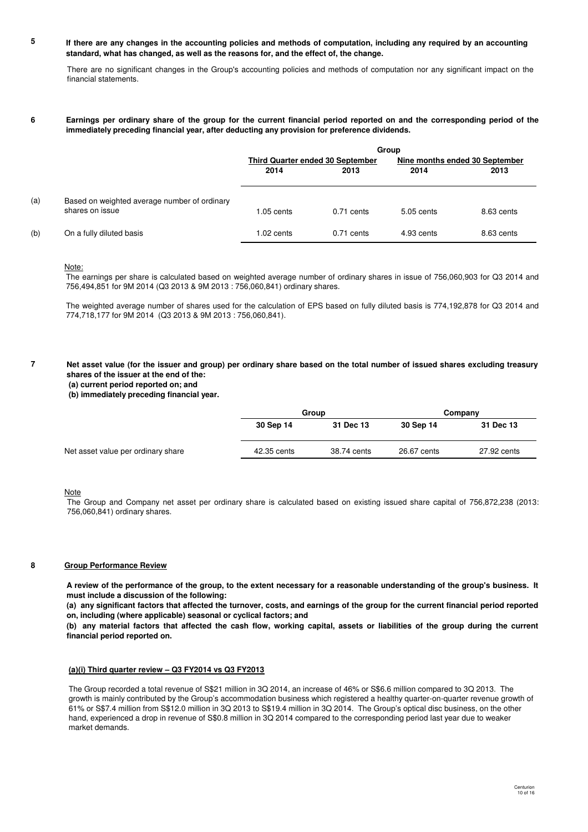#### **5 If there are any changes in the accounting policies and methods of computation, including any required by an accounting standard, what has changed, as well as the reasons for, and the effect of, the change.**

There are no significant changes in the Group's accounting policies and methods of computation nor any significant impact on the financial statements.

#### **6 Earnings per ordinary share of the group for the current financial period reported on and the corresponding period of the immediately preceding financial year, after deducting any provision for preference dividends.**

|     |                                                                 | Group                            |              |                                |            |
|-----|-----------------------------------------------------------------|----------------------------------|--------------|--------------------------------|------------|
|     |                                                                 | Third Quarter ended 30 September |              | Nine months ended 30 September |            |
|     |                                                                 | 2014                             | 2013         | 2014                           | 2013       |
| (a) | Based on weighted average number of ordinary<br>shares on issue | $1.05$ cents                     | $0.71$ cents | $5.05$ cents                   | 8.63 cents |
| (b) | On a fully diluted basis                                        | $1.02$ cents                     | $0.71$ cents | 4.93 cents                     | 8.63 cents |

#### Note:

The earnings per share is calculated based on weighted average number of ordinary shares in issue of 756,060,903 for Q3 2014 and 756,494,851 for 9M 2014 (Q3 2013 & 9M 2013 : 756,060,841) ordinary shares.

The weighted average number of shares used for the calculation of EPS based on fully diluted basis is 774,192,878 for Q3 2014 and 774,718,177 for 9M 2014 (Q3 2013 & 9M 2013 : 756,060,841).

#### **7 Net asset value (for the issuer and group) per ordinary share based on the total number of issued shares excluding treasury shares of the issuer at the end of the:**

 **(a) current period reported on; and**

 **(b) immediately preceding financial year.**

|                                    |             | Group       |             | Company     |  |
|------------------------------------|-------------|-------------|-------------|-------------|--|
|                                    | 30 Sep 14   | 31 Dec 13   | 30 Sep 14   | 31 Dec 13   |  |
| Net asset value per ordinary share | 42.35 cents | 38.74 cents | 26.67 cents | 27.92 cents |  |

#### Note

The Group and Company net asset per ordinary share is calculated based on existing issued share capital of 756,872,238 (2013: 756,060,841) ordinary shares.

#### **8 Group Performance Review**

**A review of the performance of the group, to the extent necessary for a reasonable understanding of the group's business. It must include a discussion of the following:**

**(a) any significant factors that affected the turnover, costs, and earnings of the group for the current financial period reported on, including (where applicable) seasonal or cyclical factors; and**

**(b) any material factors that affected the cash flow, working capital, assets or liabilities of the group during the current financial period reported on.**

#### **(a)(i) Third quarter review – Q3 FY2014 vs Q3 FY2013**

The Group recorded a total revenue of S\$21 million in 3Q 2014, an increase of 46% or S\$6.6 million compared to 3Q 2013. The growth is mainly contributed by the Group's accommodation business which registered a healthy quarter-on-quarter revenue growth of 61% or S\$7.4 million from S\$12.0 million in 3Q 2013 to S\$19.4 million in 3Q 2014. The Group's optical disc business, on the other hand, experienced a drop in revenue of S\$0.8 million in 3Q 2014 compared to the corresponding period last year due to weaker market demands.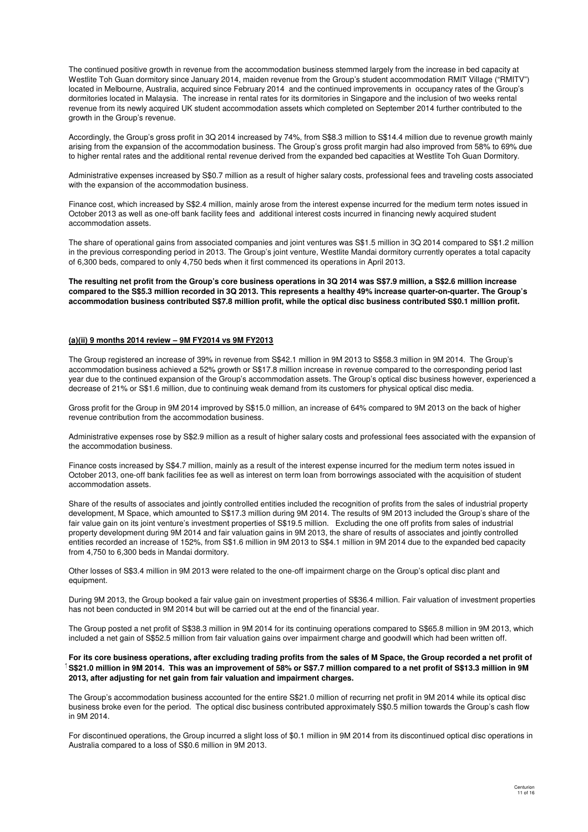The continued positive growth in revenue from the accommodation business stemmed largely from the increase in bed capacity at Westlite Toh Guan dormitory since January 2014, maiden revenue from the Group's student accommodation RMIT Village ("RMITV") located in Melbourne, Australia, acquired since February 2014 and the continued improvements in occupancy rates of the Group's dormitories located in Malaysia. The increase in rental rates for its dormitories in Singapore and the inclusion of two weeks rental revenue from its newly acquired UK student accommodation assets which completed on September 2014 further contributed to the growth in the Group's revenue.

Accordingly, the Group's gross profit in 3Q 2014 increased by 74%, from S\$8.3 million to S\$14.4 million due to revenue growth mainly arising from the expansion of the accommodation business. The Group's gross profit margin had also improved from 58% to 69% due to higher rental rates and the additional rental revenue derived from the expanded bed capacities at Westlite Toh Guan Dormitory.

Administrative expenses increased by S\$0.7 million as a result of higher salary costs, professional fees and traveling costs associated with the expansion of the accommodation business.

Finance cost, which increased by S\$2.4 million, mainly arose from the interest expense incurred for the medium term notes issued in October 2013 as well as one-off bank facility fees and additional interest costs incurred in financing newly acquired student accommodation assets.

The share of operational gains from associated companies and joint ventures was S\$1.5 million in 3Q 2014 compared to S\$1.2 million in the previous corresponding period in 2013. The Group's joint venture, Westlite Mandai dormitory currently operates a total capacity of 6,300 beds, compared to only 4,750 beds when it first commenced its operations in April 2013.

**The resulting net profit from the Group's core business operations in 3Q 2014 was S\$7.9 million, a S\$2.6 million increase compared to the S\$5.3 million recorded in 3Q 2013. This represents a healthy 49% increase quarter-on-quarter. The Group's accommodation business contributed S\$7.8 million profit, while the optical disc business contributed S\$0.1 million profit.** 

### **(a)(ii) 9 months 2014 review – 9M FY2014 vs 9M FY2013**

The Group registered an increase of 39% in revenue from S\$42.1 million in 9M 2013 to S\$58.3 million in 9M 2014. The Group's accommodation business achieved a 52% growth or S\$17.8 million increase in revenue compared to the corresponding period last year due to the continued expansion of the Group's accommodation assets. The Group's optical disc business however, experienced a decrease of 21% or S\$1.6 million, due to continuing weak demand from its customers for physical optical disc media.

Gross profit for the Group in 9M 2014 improved by S\$15.0 million, an increase of 64% compared to 9M 2013 on the back of higher revenue contribution from the accommodation business.

Administrative expenses rose by S\$2.9 million as a result of higher salary costs and professional fees associated with the expansion of the accommodation business.

Finance costs increased by S\$4.7 million, mainly as a result of the interest expense incurred for the medium term notes issued in October 2013, one-off bank facilities fee as well as interest on term loan from borrowings associated with the acquisition of student accommodation assets.

Share of the results of associates and jointly controlled entities included the recognition of profits from the sales of industrial property development, M Space, which amounted to S\$17.3 million during 9M 2014. The results of 9M 2013 included the Group's share of the fair value gain on its joint venture's investment properties of S\$19.5 million. Excluding the one off profits from sales of industrial property development during 9M 2014 and fair valuation gains in 9M 2013, the share of results of associates and jointly controlled entities recorded an increase of 152%, from S\$1.6 million in 9M 2013 to S\$4.1 million in 9M 2014 due to the expanded bed capacity from 4,750 to 6,300 beds in Mandai dormitory.

Other losses of S\$3.4 million in 9M 2013 were related to the one-off impairment charge on the Group's optical disc plant and equipment.

During 9M 2013, the Group booked a fair value gain on investment properties of S\$36.4 million. Fair valuation of investment properties has not been conducted in 9M 2014 but will be carried out at the end of the financial year.

The Group posted a net profit of S\$38.3 million in 9M 2014 for its continuing operations compared to S\$65.8 million in 9M 2013, which included a net gain of S\$52.5 million from fair valuation gains over impairment charge and goodwill which had been written off.

### <sup>1</sup>S\$21.0 million in 9M 2014. This was an improvement of 58% or S\$7.7 million compared to a net profit of S\$13.3 million in 9M **For its core business operations, after excluding trading profits from the sales of M Space, the Group recorded a net profit of 2013, after adjusting for net gain from fair valuation and impairment charges.**

The Group's accommodation business accounted for the entire S\$21.0 million of recurring net profit in 9M 2014 while its optical disc business broke even for the period. The optical disc business contributed approximately S\$0.5 million towards the Group's cash flow in 9M 2014.

For discontinued operations, the Group incurred a slight loss of \$0.1 million in 9M 2014 from its discontinued optical disc operations in Australia compared to a loss of S\$0.6 million in 9M 2013.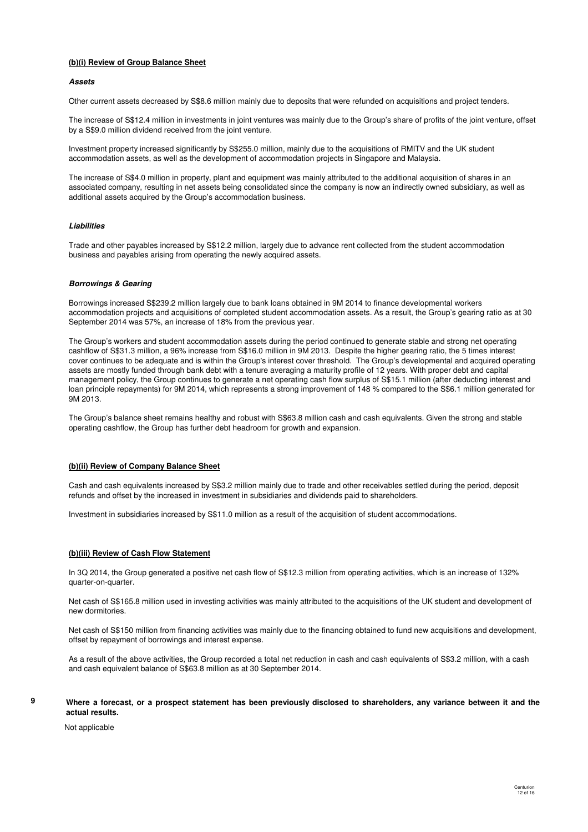# **(b)(i) Review of Group Balance Sheet**

#### **Assets**

Other current assets decreased by S\$8.6 million mainly due to deposits that were refunded on acquisitions and project tenders.

The increase of S\$12.4 million in investments in joint ventures was mainly due to the Group's share of profits of the joint venture, offset by a S\$9.0 million dividend received from the joint venture.

Investment property increased significantly by S\$255.0 million, mainly due to the acquisitions of RMITV and the UK student accommodation assets, as well as the development of accommodation projects in Singapore and Malaysia.

The increase of S\$4.0 million in property, plant and equipment was mainly attributed to the additional acquisition of shares in an associated company, resulting in net assets being consolidated since the company is now an indirectly owned subsidiary, as well as additional assets acquired by the Group's accommodation business.

#### **Liabilities**

Trade and other payables increased by S\$12.2 million, largely due to advance rent collected from the student accommodation business and payables arising from operating the newly acquired assets.

#### **Borrowings & Gearing**

Borrowings increased S\$239.2 million largely due to bank loans obtained in 9M 2014 to finance developmental workers accommodation projects and acquisitions of completed student accommodation assets. As a result, the Group's gearing ratio as at 30 September 2014 was 57%, an increase of 18% from the previous year.

The Group's workers and student accommodation assets during the period continued to generate stable and strong net operating cashflow of S\$31.3 million, a 96% increase from S\$16.0 million in 9M 2013. Despite the higher gearing ratio, the 5 times interest cover continues to be adequate and is within the Group's interest cover threshold. The Group's developmental and acquired operating assets are mostly funded through bank debt with a tenure averaging a maturity profile of 12 years. With proper debt and capital management policy, the Group continues to generate a net operating cash flow surplus of S\$15.1 million (after deducting interest and loan principle repayments) for 9M 2014, which represents a strong improvement of 148 % compared to the S\$6.1 million generated for 9M 2013.

The Group's balance sheet remains healthy and robust with S\$63.8 million cash and cash equivalents. Given the strong and stable operating cashflow, the Group has further debt headroom for growth and expansion.

#### **(b)(ii) Review of Company Balance Sheet**

Cash and cash equivalents increased by S\$3.2 million mainly due to trade and other receivables settled during the period, deposit refunds and offset by the increased in investment in subsidiaries and dividends paid to shareholders.

Investment in subsidiaries increased by S\$11.0 million as a result of the acquisition of student accommodations.

#### **(b)(iii) Review of Cash Flow Statement**

In 3Q 2014, the Group generated a positive net cash flow of S\$12.3 million from operating activities, which is an increase of 132% quarter-on-quarter.

Net cash of S\$165.8 million used in investing activities was mainly attributed to the acquisitions of the UK student and development of new dormitories.

Net cash of S\$150 million from financing activities was mainly due to the financing obtained to fund new acquisitions and development, offset by repayment of borrowings and interest expense.

As a result of the above activities, the Group recorded a total net reduction in cash and cash equivalents of S\$3.2 million, with a cash and cash equivalent balance of S\$63.8 million as at 30 September 2014.

### **Where a forecast, or a prospect statement has been previously disclosed to shareholders, any variance between it and the actual results.**

Not applicable

**9**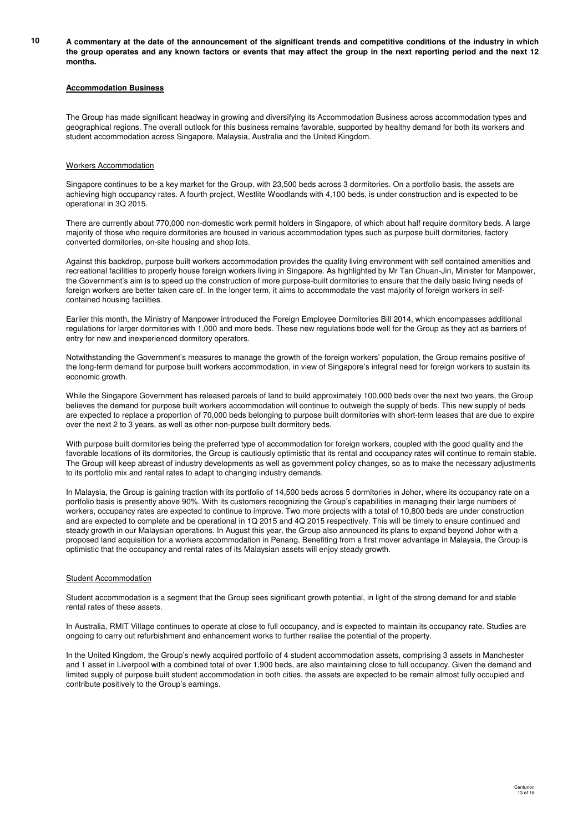**10 A commentary at the date of the announcement of the significant trends and competitive conditions of the industry in which the group operates and any known factors or events that may affect the group in the next reporting period and the next 12 months.**

#### **Accommodation Business**

The Group has made significant headway in growing and diversifying its Accommodation Business across accommodation types and geographical regions. The overall outlook for this business remains favorable, supported by healthy demand for both its workers and student accommodation across Singapore, Malaysia, Australia and the United Kingdom.

#### Workers Accommodation

Singapore continues to be a key market for the Group, with 23,500 beds across 3 dormitories. On a portfolio basis, the assets are achieving high occupancy rates. A fourth project, Westlite Woodlands with 4,100 beds, is under construction and is expected to be operational in 3Q 2015.

There are currently about 770,000 non-domestic work permit holders in Singapore, of which about half require dormitory beds. A large majority of those who require dormitories are housed in various accommodation types such as purpose built dormitories, factory converted dormitories, on-site housing and shop lots.

Against this backdrop, purpose built workers accommodation provides the quality living environment with self contained amenities and recreational facilities to properly house foreign workers living in Singapore. As highlighted by Mr Tan Chuan-Jin, Minister for Manpower, the Government's aim is to speed up the construction of more purpose-built dormitories to ensure that the daily basic living needs of foreign workers are better taken care of. In the longer term, it aims to accommodate the vast majority of foreign workers in selfcontained housing facilities.

Earlier this month, the Ministry of Manpower introduced the Foreign Employee Dormitories Bill 2014, which encompasses additional regulations for larger dormitories with 1,000 and more beds. These new regulations bode well for the Group as they act as barriers of entry for new and inexperienced dormitory operators.

Notwithstanding the Government's measures to manage the growth of the foreign workers' population, the Group remains positive of the long-term demand for purpose built workers accommodation, in view of Singapore's integral need for foreign workers to sustain its economic growth.

While the Singapore Government has released parcels of land to build approximately 100,000 beds over the next two years, the Group believes the demand for purpose built workers accommodation will continue to outweigh the supply of beds. This new supply of beds are expected to replace a proportion of 70,000 beds belonging to purpose built dormitories with short-term leases that are due to expire over the next 2 to 3 years, as well as other non-purpose built dormitory beds.

With purpose built dormitories being the preferred type of accommodation for foreign workers, coupled with the good quality and the favorable locations of its dormitories, the Group is cautiously optimistic that its rental and occupancy rates will continue to remain stable. The Group will keep abreast of industry developments as well as government policy changes, so as to make the necessary adjustments to its portfolio mix and rental rates to adapt to changing industry demands.

In Malaysia, the Group is gaining traction with its portfolio of 14,500 beds across 5 dormitories in Johor, where its occupancy rate on a portfolio basis is presently above 90%. With its customers recognizing the Group's capabilities in managing their large numbers of workers, occupancy rates are expected to continue to improve. Two more projects with a total of 10,800 beds are under construction and are expected to complete and be operational in 1Q 2015 and 4Q 2015 respectively. This will be timely to ensure continued and steady growth in our Malaysian operations. In August this year, the Group also announced its plans to expand beyond Johor with a proposed land acquisition for a workers accommodation in Penang. Benefiting from a first mover advantage in Malaysia, the Group is optimistic that the occupancy and rental rates of its Malaysian assets will enjoy steady growth.

#### **Student Accommodation**

Student accommodation is a segment that the Group sees significant growth potential, in light of the strong demand for and stable rental rates of these assets.

In Australia, RMIT Village continues to operate at close to full occupancy, and is expected to maintain its occupancy rate. Studies are ongoing to carry out refurbishment and enhancement works to further realise the potential of the property.

In the United Kingdom, the Group's newly acquired portfolio of 4 student accommodation assets, comprising 3 assets in Manchester and 1 asset in Liverpool with a combined total of over 1,900 beds, are also maintaining close to full occupancy. Given the demand and limited supply of purpose built student accommodation in both cities, the assets are expected to be remain almost fully occupied and contribute positively to the Group's earnings.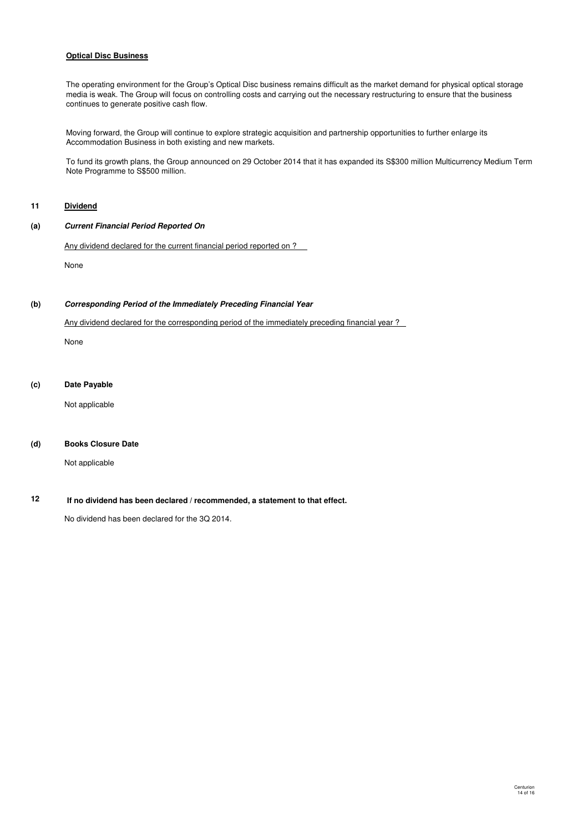## **Optical Disc Business**

The operating environment for the Group's Optical Disc business remains difficult as the market demand for physical optical storage media is weak. The Group will focus on controlling costs and carrying out the necessary restructuring to ensure that the business continues to generate positive cash flow.

Moving forward, the Group will continue to explore strategic acquisition and partnership opportunities to further enlarge its Accommodation Business in both existing and new markets.

To fund its growth plans, the Group announced on 29 October 2014 that it has expanded its S\$300 million Multicurrency Medium Term Note Programme to S\$500 million.

# **11 Dividend**

### **(a) Current Financial Period Reported On**

Any dividend declared for the current financial period reported on ?

None

#### **(b) Corresponding Period of the Immediately Preceding Financial Year**

Any dividend declared for the corresponding period of the immediately preceding financial year ?

None

### **(c) Date Payable**

Not applicable

### **(d) Books Closure Date**

Not applicable

#### **12 If no dividend has been declared / recommended, a statement to that effect.**

No dividend has been declared for the 3Q 2014.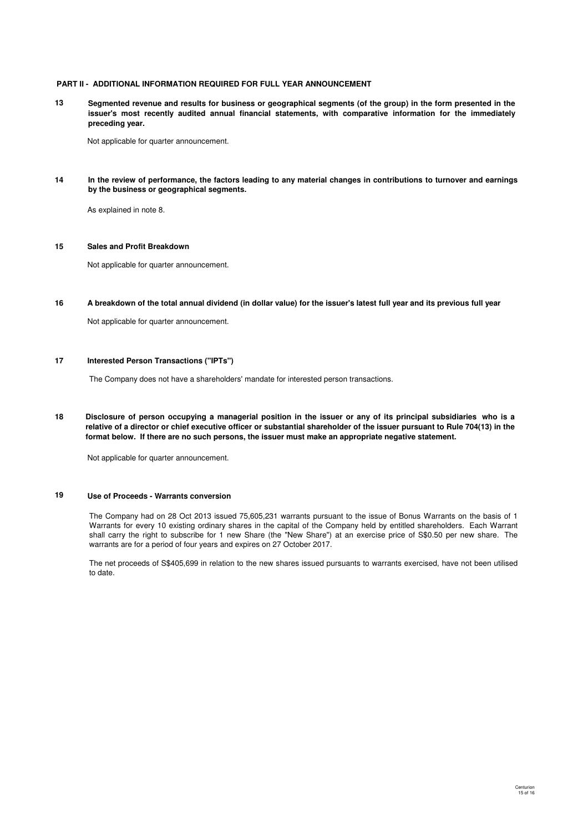### **PART II - ADDITIONAL INFORMATION REQUIRED FOR FULL YEAR ANNOUNCEMENT**

**13 Segmented revenue and results for business or geographical segments (of the group) in the form presented in the issuer's most recently audited annual financial statements, with comparative information for the immediately preceding year.**

Not applicable for quarter announcement.

**14 In the review of performance, the factors leading to any material changes in contributions to turnover and earnings by the business or geographical segments.**

As explained in note 8.

#### **15 Sales and Profit Breakdown**

Not applicable for quarter announcement.

**16 A breakdown of the total annual dividend (in dollar value) for the issuer's latest full year and its previous full year**

Not applicable for quarter announcement.

#### **17 Interested Person Transactions ("IPTs")**

The Company does not have a shareholders' mandate for interested person transactions.

**18 Disclosure of person occupying a managerial position in the issuer or any of its principal subsidiaries who is a relative of a director or chief executive officer or substantial shareholder of the issuer pursuant to Rule 704(13) in the format below. If there are no such persons, the issuer must make an appropriate negative statement.**

Not applicable for quarter announcement.

# **19 Use of Proceeds - Warrants conversion**

The Company had on 28 Oct 2013 issued 75,605,231 warrants pursuant to the issue of Bonus Warrants on the basis of 1 Warrants for every 10 existing ordinary shares in the capital of the Company held by entitled shareholders. Each Warrant shall carry the right to subscribe for 1 new Share (the "New Share") at an exercise price of S\$0.50 per new share. The warrants are for a period of four years and expires on 27 October 2017.

The net proceeds of S\$405,699 in relation to the new shares issued pursuants to warrants exercised, have not been utilised to date.